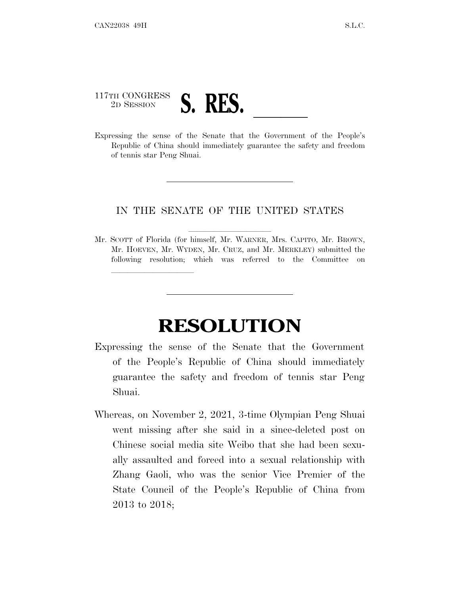## 117TH CONGRESS <sup>117TH CONGRESS</sup><br>
<sup>2D SESSION</sup><br>Expressing the sense of the Senate that the Government of the People's

lland and a state of the state of the state of the state of the state of the state of the state of the state o

Republic of China should immediately guarantee the safety and freedom of tennis star Peng Shuai.

## IN THE SENATE OF THE UNITED STATES

Mr. SCOTT of Florida (for himself, Mr. WARNER, Mrs. CAPITO, Mr. BROWN, Mr. HOEVEN, Mr. WYDEN, Mr. CRUZ, and Mr. MERKLEY) submitted the following resolution; which was referred to the Committee on

## **RESOLUTION**

- Expressing the sense of the Senate that the Government of the People's Republic of China should immediately guarantee the safety and freedom of tennis star Peng Shuai.
- Whereas, on November 2, 2021, 3-time Olympian Peng Shuai went missing after she said in a since-deleted post on Chinese social media site Weibo that she had been sexually assaulted and forced into a sexual relationship with Zhang Gaoli, who was the senior Vice Premier of the State Council of the People's Republic of China from 2013 to 2018;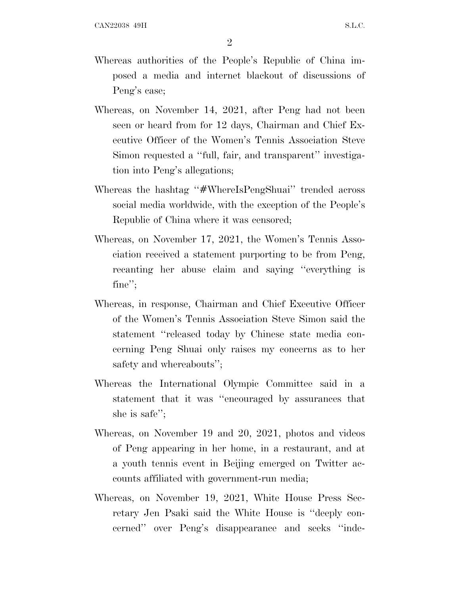- Whereas authorities of the People's Republic of China imposed a media and internet blackout of discussions of Peng's case;
- Whereas, on November 14, 2021, after Peng had not been seen or heard from for 12 days, Chairman and Chief Executive Officer of the Women's Tennis Association Steve Simon requested a ''full, fair, and transparent'' investigation into Peng's allegations;
- Whereas the hashtag "#WhereIsPengShuai" trended across social media worldwide, with the exception of the People's Republic of China where it was censored;
- Whereas, on November 17, 2021, the Women's Tennis Association received a statement purporting to be from Peng, recanting her abuse claim and saying ''everything is fine'';
- Whereas, in response, Chairman and Chief Executive Officer of the Women's Tennis Association Steve Simon said the statement ''released today by Chinese state media concerning Peng Shuai only raises my concerns as to her safety and whereabouts'';
- Whereas the International Olympic Committee said in a statement that it was ''encouraged by assurances that she is safe'';
- Whereas, on November 19 and 20, 2021, photos and videos of Peng appearing in her home, in a restaurant, and at a youth tennis event in Beijing emerged on Twitter accounts affiliated with government-run media;
- Whereas, on November 19, 2021, White House Press Secretary Jen Psaki said the White House is ''deeply concerned'' over Peng's disappearance and seeks ''inde-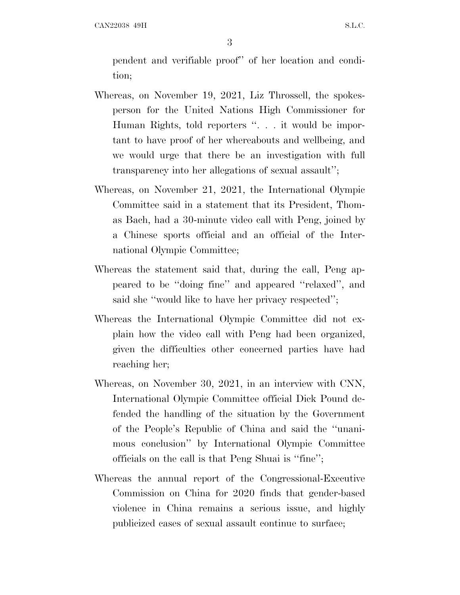pendent and verifiable proof'' of her location and condition;

- Whereas, on November 19, 2021, Liz Throssell, the spokesperson for the United Nations High Commissioner for Human Rights, told reporters ''. . . it would be important to have proof of her whereabouts and wellbeing, and we would urge that there be an investigation with full transparency into her allegations of sexual assault'';
- Whereas, on November 21, 2021, the International Olympic Committee said in a statement that its President, Thomas Bach, had a 30-minute video call with Peng, joined by a Chinese sports official and an official of the International Olympic Committee;
- Whereas the statement said that, during the call, Peng appeared to be ''doing fine'' and appeared ''relaxed'', and said she ''would like to have her privacy respected'';
- Whereas the International Olympic Committee did not explain how the video call with Peng had been organized, given the difficulties other concerned parties have had reaching her;
- Whereas, on November 30, 2021, in an interview with CNN, International Olympic Committee official Dick Pound defended the handling of the situation by the Government of the People's Republic of China and said the ''unanimous conclusion'' by International Olympic Committee officials on the call is that Peng Shuai is ''fine'';
- Whereas the annual report of the Congressional-Executive Commission on China for 2020 finds that gender-based violence in China remains a serious issue, and highly publicized cases of sexual assault continue to surface;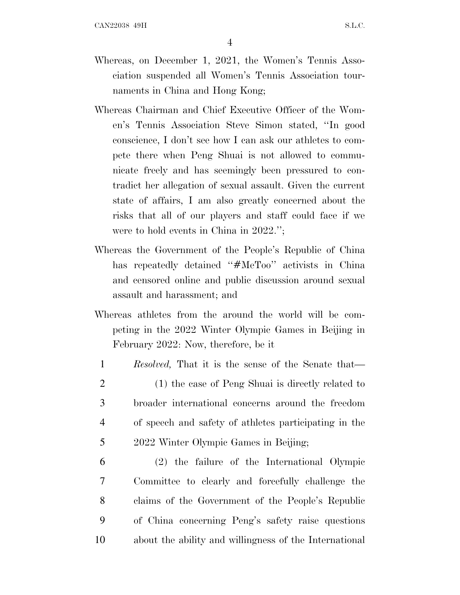- Whereas, on December 1, 2021, the Women's Tennis Association suspended all Women's Tennis Association tournaments in China and Hong Kong;
- Whereas Chairman and Chief Executive Officer of the Women's Tennis Association Steve Simon stated, ''In good conscience, I don't see how I can ask our athletes to compete there when Peng Shuai is not allowed to communicate freely and has seemingly been pressured to contradict her allegation of sexual assault. Given the current state of affairs, I am also greatly concerned about the risks that all of our players and staff could face if we were to hold events in China in 2022.'';
- Whereas the Government of the People's Republic of China has repeatedly detained "#MeToo" activists in China and censored online and public discussion around sexual assault and harassment; and
- Whereas athletes from the around the world will be competing in the 2022 Winter Olympic Games in Beijing in February 2022: Now, therefore, be it
- 1 *Resolved,* That it is the sense of the Senate that— 2 (1) the case of Peng Shuai is directly related to 3 broader international concerns around the freedom 4 of speech and safety of athletes participating in the 5 2022 Winter Olympic Games in Beijing;
- 6 (2) the failure of the International Olympic 7 Committee to clearly and forcefully challenge the 8 claims of the Government of the People's Republic 9 of China concerning Peng's safety raise questions 10 about the ability and willingness of the International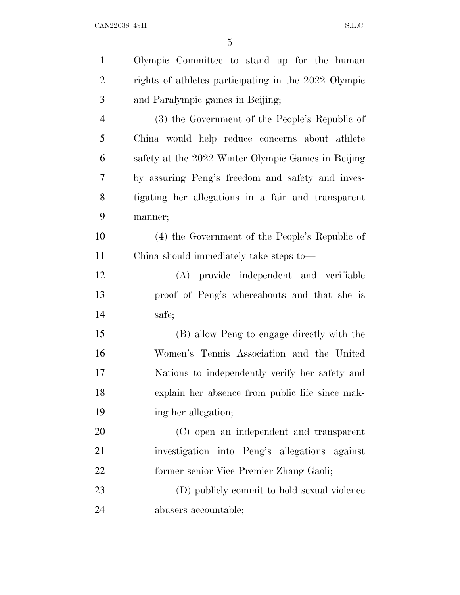| $\mathbf{1}$   | Olympic Committee to stand up for the human          |
|----------------|------------------------------------------------------|
| $\overline{2}$ | rights of athletes participating in the 2022 Olympic |
| 3              | and Paralympic games in Beijing;                     |
| $\overline{4}$ | (3) the Government of the People's Republic of       |
| 5              | China would help reduce concerns about athlete       |
| 6              | safety at the 2022 Winter Olympic Games in Beijing   |
| 7              | by assuring Peng's freedom and safety and inves-     |
| 8              | tigating her allegations in a fair and transparent   |
| 9              | manner;                                              |
| 10             | (4) the Government of the People's Republic of       |
| 11             | China should immediately take steps to—              |
| 12             | (A) provide independent and verifiable               |
| 13             | proof of Peng's whereabouts and that she is          |
| 14             | safe;                                                |
| 15             | (B) allow Peng to engage directly with the           |
| 16             | Women's Tennis Association and the United            |
| 17             | Nations to independently verify her safety and       |
| 18             | explain her absence from public life since mak-      |
| 19             | ing her allegation;                                  |
| 20             | (C) open an independent and transparent              |
| 21             | investigation into Peng's allegations against        |
| 22             | former senior Vice Premier Zhang Gaoli;              |
| 23             | (D) publicly commit to hold sexual violence          |
| 24             | abusers accountable;                                 |